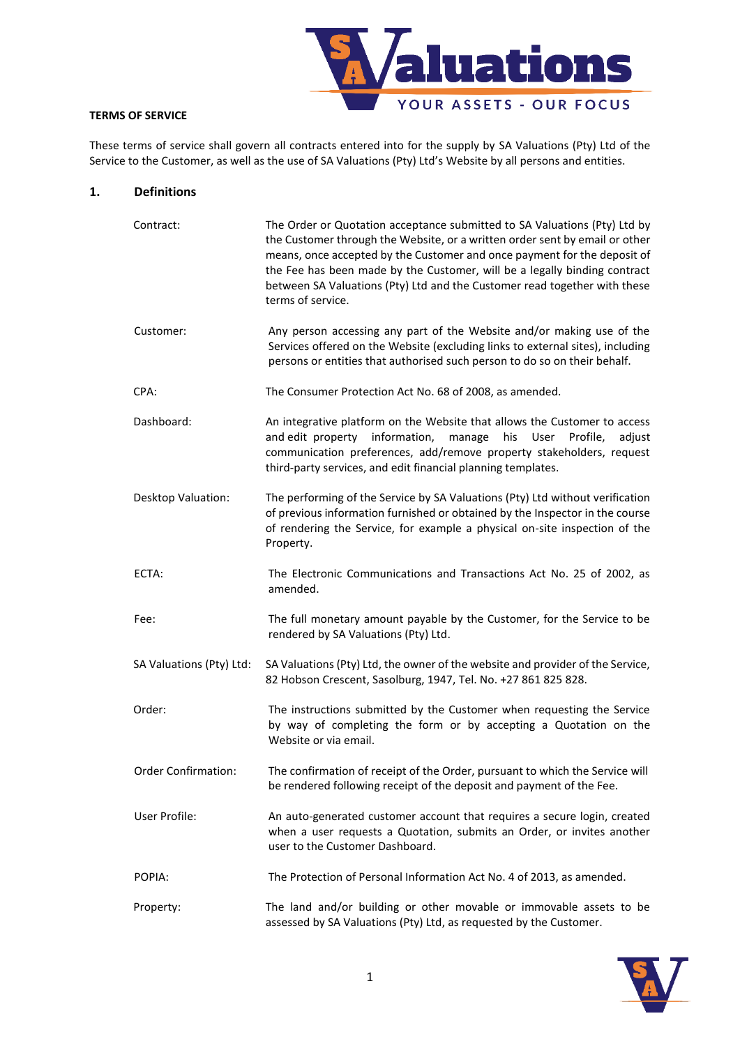

# **TERMS OF SERVICE**

These terms of service shall govern all contracts entered into for the supply by SA Valuations (Pty) Ltd of the Service to the Customer, as well as the use of SA Valuations (Pty) Ltd's Website by all persons and entities.

#### **1. Definitions**

| Contract:                | The Order or Quotation acceptance submitted to SA Valuations (Pty) Ltd by<br>the Customer through the Website, or a written order sent by email or other<br>means, once accepted by the Customer and once payment for the deposit of<br>the Fee has been made by the Customer, will be a legally binding contract<br>between SA Valuations (Pty) Ltd and the Customer read together with these<br>terms of service. |
|--------------------------|---------------------------------------------------------------------------------------------------------------------------------------------------------------------------------------------------------------------------------------------------------------------------------------------------------------------------------------------------------------------------------------------------------------------|
| Customer:                | Any person accessing any part of the Website and/or making use of the<br>Services offered on the Website (excluding links to external sites), including<br>persons or entities that authorised such person to do so on their behalf.                                                                                                                                                                                |
| CPA:                     | The Consumer Protection Act No. 68 of 2008, as amended.                                                                                                                                                                                                                                                                                                                                                             |
| Dashboard:               | An integrative platform on the Website that allows the Customer to access<br>and edit property information, manage<br>his<br>User Profile,<br>adjust<br>communication preferences, add/remove property stakeholders, request<br>third-party services, and edit financial planning templates.                                                                                                                        |
| Desktop Valuation:       | The performing of the Service by SA Valuations (Pty) Ltd without verification<br>of previous information furnished or obtained by the Inspector in the course<br>of rendering the Service, for example a physical on-site inspection of the<br>Property.                                                                                                                                                            |
| ECTA:                    | The Electronic Communications and Transactions Act No. 25 of 2002, as<br>amended.                                                                                                                                                                                                                                                                                                                                   |
| Fee:                     | The full monetary amount payable by the Customer, for the Service to be<br>rendered by SA Valuations (Pty) Ltd.                                                                                                                                                                                                                                                                                                     |
| SA Valuations (Pty) Ltd: | SA Valuations (Pty) Ltd, the owner of the website and provider of the Service,<br>82 Hobson Crescent, Sasolburg, 1947, Tel. No. +27 861 825 828.                                                                                                                                                                                                                                                                    |
| Order:                   | The instructions submitted by the Customer when requesting the Service<br>by way of completing the form or by accepting a Quotation on the<br>Website or via email.                                                                                                                                                                                                                                                 |
| Order Confirmation:      | The confirmation of receipt of the Order, pursuant to which the Service will<br>be rendered following receipt of the deposit and payment of the Fee.                                                                                                                                                                                                                                                                |
| User Profile:            | An auto-generated customer account that requires a secure login, created<br>when a user requests a Quotation, submits an Order, or invites another<br>user to the Customer Dashboard.                                                                                                                                                                                                                               |
| POPIA:                   | The Protection of Personal Information Act No. 4 of 2013, as amended.                                                                                                                                                                                                                                                                                                                                               |
| Property:                | The land and/or building or other movable or immovable assets to be<br>assessed by SA Valuations (Pty) Ltd, as requested by the Customer.                                                                                                                                                                                                                                                                           |

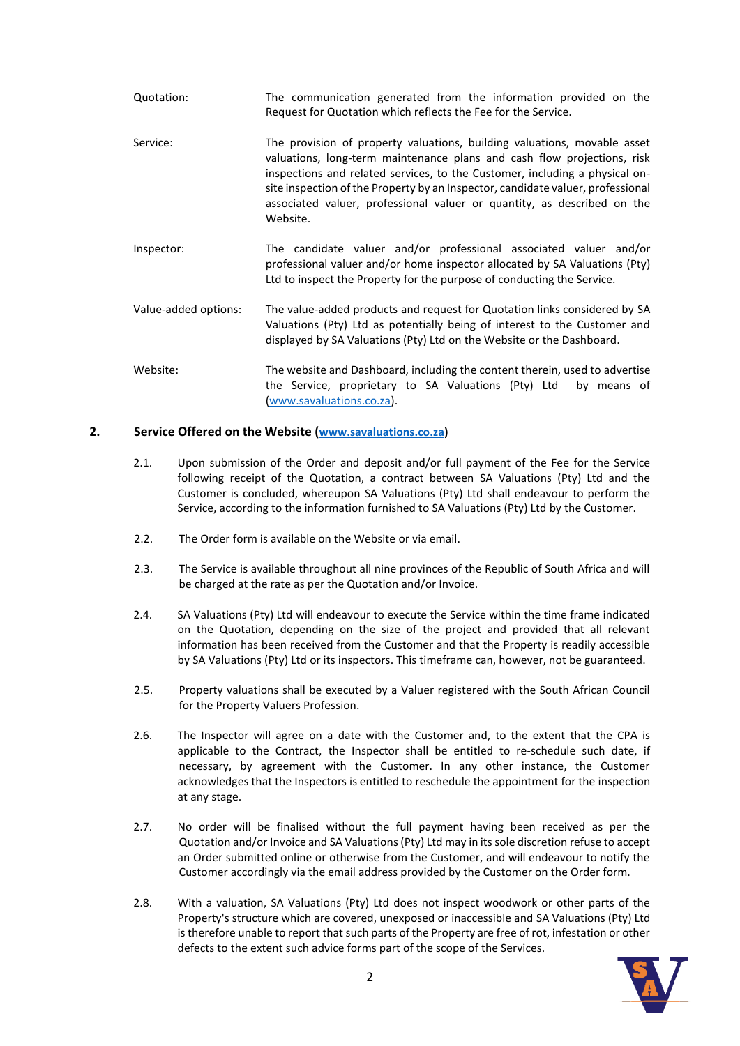- Quotation: The communication generated from the information provided on the Request for Quotation which reflects the Fee for the Service.
- Service: The provision of property valuations, building valuations, movable asset valuations, long-term maintenance plans and cash flow projections, risk inspections and related services, to the Customer, including a physical onsite inspection of the Property by an Inspector, candidate valuer, professional associated valuer, professional valuer or quantity, as described on the Website.
- Inspector: The candidate valuer and/or professional associated valuer and/or professional valuer and/or home inspector allocated by SA Valuations (Pty) Ltd to inspect the Property for the purpose of conducting the Service.
- Value-added options: The value-added products and request for Quotation links considered by SA Valuations (Pty) Ltd as potentially being of interest to the Customer and displayed by SA Valuations (Pty) Ltd on the Website or the Dashboard.
- Website: The website and Dashboard, including the content therein, used to advertise the Service, proprietary to SA Valuations (Pty) Ltd by means of [\(www.savaluations.co.za\)](http://www.savaluations.co.za/).

## **2. Service Offered on the Website ([www.savaluations.co.za\)](http://www.savaluations.co.za/)**

- 2.1. Upon submission of the Order and deposit and/or full payment of the Fee for the Service following receipt of the Quotation, a contract between SA Valuations (Pty) Ltd and the Customer is concluded, whereupon SA Valuations (Pty) Ltd shall endeavour to perform the Service, according to the information furnished to SA Valuations (Pty) Ltd by the Customer.
- 2.2. The Order form is available on the Website or via email.
- 2.3. The Service is available throughout all nine provinces of the Republic of South Africa and will be charged at the rate as per the Quotation and/or Invoice.
- 2.4. SA Valuations (Pty) Ltd will endeavour to execute the Service within the time frame indicated on the Quotation, depending on the size of the project and provided that all relevant information has been received from the Customer and that the Property is readily accessible by SA Valuations (Pty) Ltd or its inspectors. This timeframe can, however, not be guaranteed.
- 2.5. Property valuations shall be executed by a Valuer registered with the South African Council for the Property Valuers Profession.
- 2.6. The Inspector will agree on a date with the Customer and, to the extent that the CPA is applicable to the Contract, the Inspector shall be entitled to re-schedule such date, if necessary, by agreement with the Customer. In any other instance, the Customer acknowledges that the Inspectors is entitled to reschedule the appointment for the inspection at any stage.
- 2.7. No order will be finalised without the full payment having been received as per the Quotation and/or Invoice and SA Valuations (Pty) Ltd may in its sole discretion refuse to accept an Order submitted online or otherwise from the Customer, and will endeavour to notify the Customer accordingly via the email address provided by the Customer on the Order form.
- 2.8. With a valuation, SA Valuations (Pty) Ltd does not inspect woodwork or other parts of the Property's structure which are covered, unexposed or inaccessible and SA Valuations (Pty) Ltd is therefore unable to report that such parts of the Property are free of rot, infestation or other defects to the extent such advice forms part of the scope of the Services.

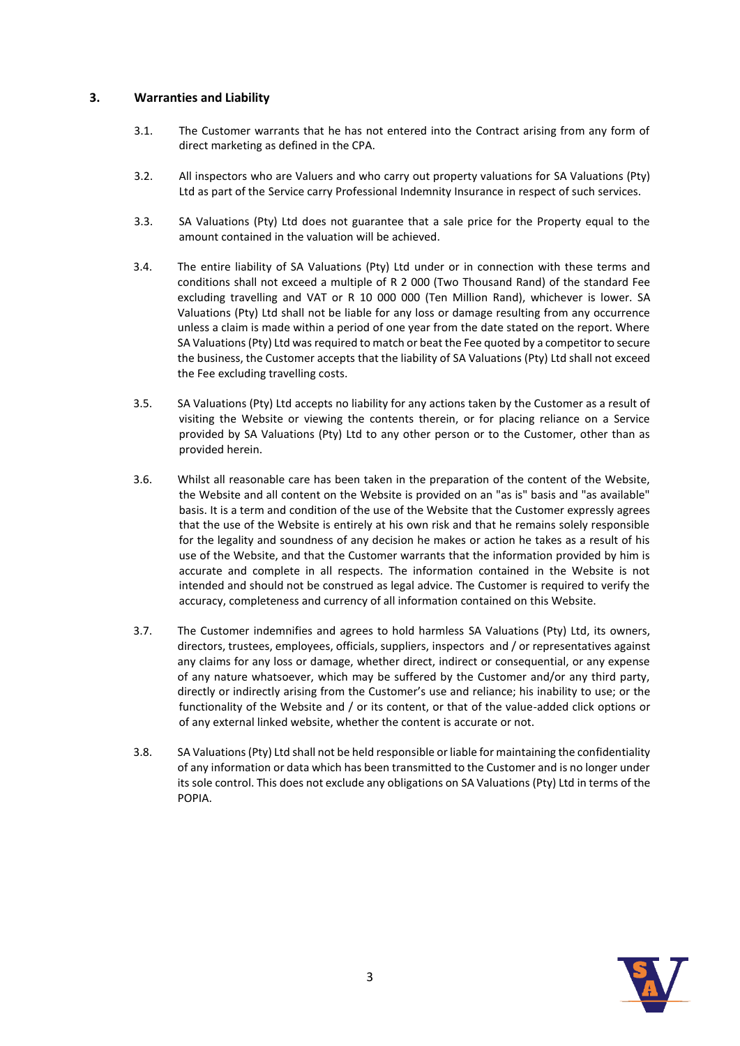# **3. Warranties and Liability**

- 3.1. The Customer warrants that he has not entered into the Contract arising from any form of direct marketing as defined in the CPA.
- 3.2. All inspectors who are Valuers and who carry out property valuations for SA Valuations (Pty) Ltd as part of the Service carry Professional Indemnity Insurance in respect of such services.
- 3.3. SA Valuations (Pty) Ltd does not guarantee that a sale price for the Property equal to the amount contained in the valuation will be achieved.
- 3.4. The entire liability of SA Valuations (Pty) Ltd under or in connection with these terms and conditions shall not exceed a multiple of R 2 000 (Two Thousand Rand) of the standard Fee excluding travelling and VAT or R 10 000 000 (Ten Million Rand), whichever is lower. SA Valuations (Pty) Ltd shall not be liable for any loss or damage resulting from any occurrence unless a claim is made within a period of one year from the date stated on the report. Where SA Valuations (Pty) Ltd was required to match or beat the Fee quoted by a competitor to secure the business, the Customer accepts that the liability of SA Valuations (Pty) Ltd shall not exceed the Fee excluding travelling costs.
- 3.5. SA Valuations (Pty) Ltd accepts no liability for any actions taken by the Customer as a result of visiting the Website or viewing the contents therein, or for placing reliance on a Service provided by SA Valuations (Pty) Ltd to any other person or to the Customer, other than as provided herein.
- 3.6. Whilst all reasonable care has been taken in the preparation of the content of the Website, the Website and all content on the Website is provided on an "as is" basis and "as available" basis. It is a term and condition of the use of the Website that the Customer expressly agrees that the use of the Website is entirely at his own risk and that he remains solely responsible for the legality and soundness of any decision he makes or action he takes as a result of his use of the Website, and that the Customer warrants that the information provided by him is accurate and complete in all respects. The information contained in the Website is not intended and should not be construed as legal advice. The Customer is required to verify the accuracy, completeness and currency of all information contained on this Website.
- 3.7. The Customer indemnifies and agrees to hold harmless SA Valuations (Pty) Ltd, its owners, directors, trustees, employees, officials, suppliers, inspectors and / or representatives against any claims for any loss or damage, whether direct, indirect or consequential, or any expense of any nature whatsoever, which may be suffered by the Customer and/or any third party, directly or indirectly arising from the Customer's use and reliance; his inability to use; or the functionality of the Website and / or its content, or that of the value-added click options or of any external linked website, whether the content is accurate or not.
- 3.8. SA Valuations (Pty) Ltd shall not be held responsible or liable for maintaining the confidentiality of any information or data which has been transmitted to the Customer and is no longer under its sole control. This does not exclude any obligations on SA Valuations (Pty) Ltd in terms of the POPIA.

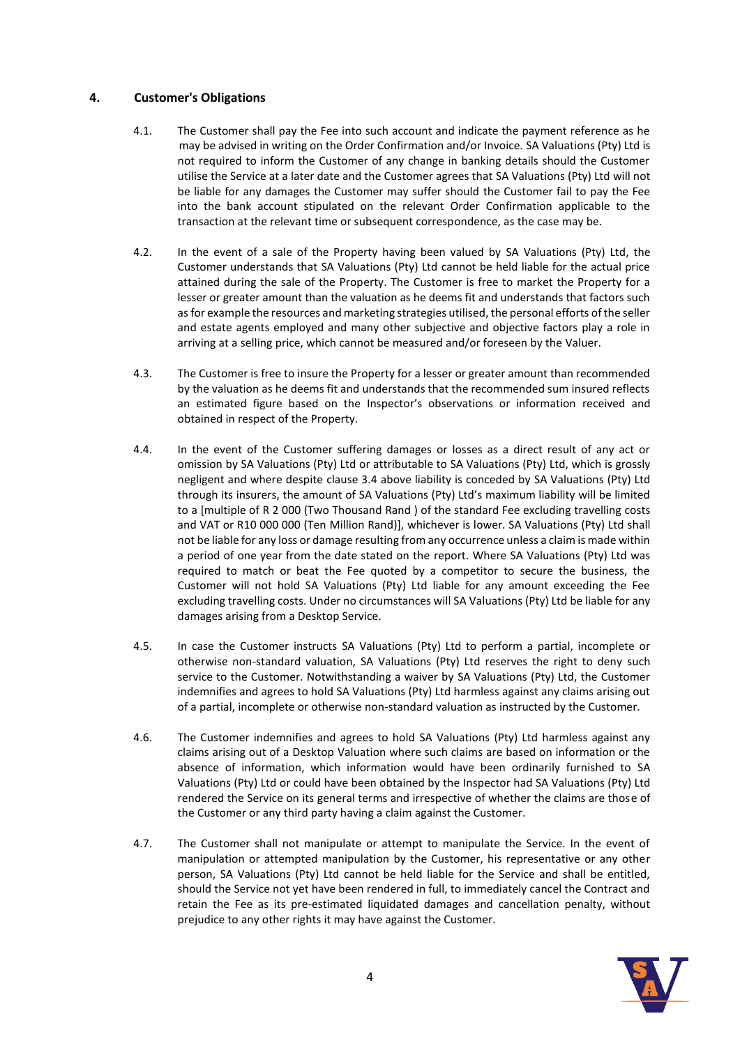# **4. Customer's Obligations**

- 4.1. The Customer shall pay the Fee into such account and indicate the payment reference as he may be advised in writing on the Order Confirmation and/or Invoice. SA Valuations (Pty) Ltd is not required to inform the Customer of any change in banking details should the Customer utilise the Service at a later date and the Customer agrees that SA Valuations (Pty) Ltd will not be liable for any damages the Customer may suffer should the Customer fail to pay the Fee into the bank account stipulated on the relevant Order Confirmation applicable to the transaction at the relevant time or subsequent correspondence, as the case may be.
- 4.2. In the event of a sale of the Property having been valued by SA Valuations (Pty) Ltd, the Customer understands that SA Valuations (Pty) Ltd cannot be held liable for the actual price attained during the sale of the Property. The Customer is free to market the Property for a lesser or greater amount than the valuation as he deems fit and understands that factors such as for example the resources and marketing strategies utilised, the personal efforts of the seller and estate agents employed and many other subjective and objective factors play a role in arriving at a selling price, which cannot be measured and/or foreseen by the Valuer.
- 4.3. The Customer is free to insure the Property for a lesser or greater amount than recommended by the valuation as he deems fit and understands that the recommended sum insured reflects an estimated figure based on the Inspector's observations or information received and obtained in respect of the Property.
- 4.4. In the event of the Customer suffering damages or losses as a direct result of any act or omission by SA Valuations (Pty) Ltd or attributable to SA Valuations (Pty) Ltd, which is grossly negligent and where despite clause 3.4 above liability is conceded by SA Valuations (Pty) Ltd through its insurers, the amount of SA Valuations (Pty) Ltd's maximum liability will be limited to a [multiple of R 2 000 (Two Thousand Rand ) of the standard Fee excluding travelling costs and VAT or R10 000 000 (Ten Million Rand)], whichever is lower. SA Valuations (Pty) Ltd shall not be liable for any loss or damage resulting from any occurrence unless a claim is made within a period of one year from the date stated on the report. Where SA Valuations (Pty) Ltd was required to match or beat the Fee quoted by a competitor to secure the business, the Customer will not hold SA Valuations (Pty) Ltd liable for any amount exceeding the Fee excluding travelling costs. Under no circumstances will SA Valuations (Pty) Ltd be liable for any damages arising from a Desktop Service.
- 4.5. In case the Customer instructs SA Valuations (Pty) Ltd to perform a partial, incomplete or otherwise non-standard valuation, SA Valuations (Pty) Ltd reserves the right to deny such service to the Customer. Notwithstanding a waiver by SA Valuations (Pty) Ltd, the Customer indemnifies and agrees to hold SA Valuations (Pty) Ltd harmless against any claims arising out of a partial, incomplete or otherwise non-standard valuation as instructed by the Customer.
- 4.6. The Customer indemnifies and agrees to hold SA Valuations (Pty) Ltd harmless against any claims arising out of a Desktop Valuation where such claims are based on information or the absence of information, which information would have been ordinarily furnished to SA Valuations (Pty) Ltd or could have been obtained by the Inspector had SA Valuations (Pty) Ltd rendered the Service on its general terms and irrespective of whether the claims are those of the Customer or any third party having a claim against the Customer.
- 4.7. The Customer shall not manipulate or attempt to manipulate the Service. In the event of manipulation or attempted manipulation by the Customer, his representative or any other person, SA Valuations (Pty) Ltd cannot be held liable for the Service and shall be entitled, should the Service not yet have been rendered in full, to immediately cancel the Contract and retain the Fee as its pre-estimated liquidated damages and cancellation penalty, without prejudice to any other rights it may have against the Customer.

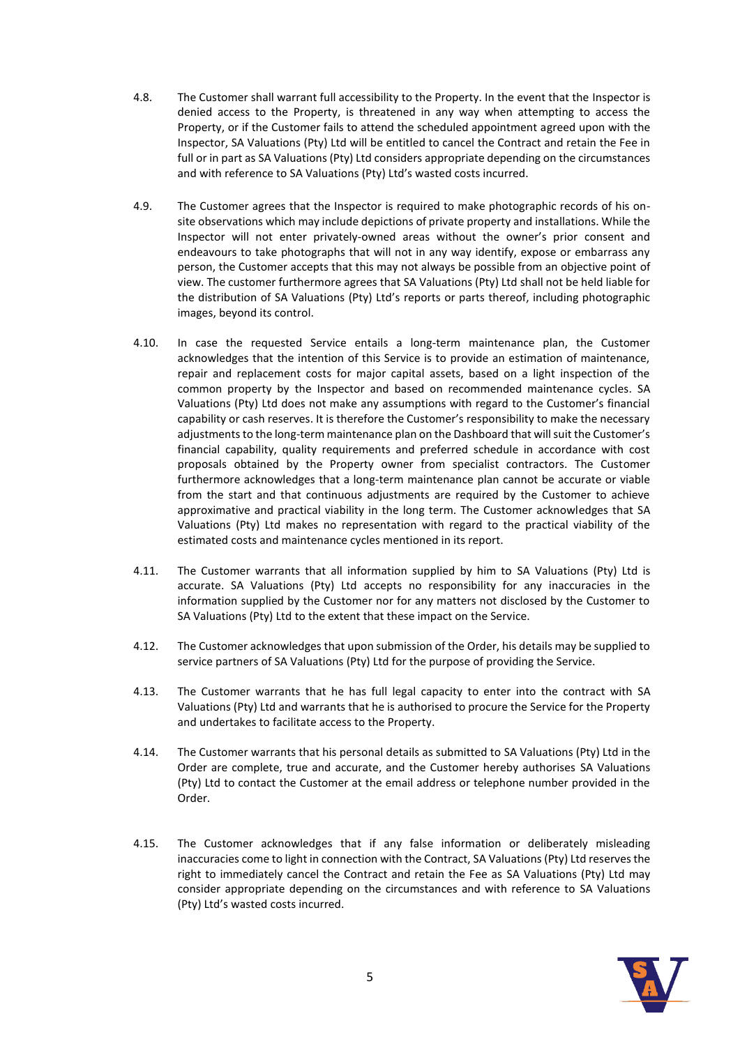- 4.8. The Customer shall warrant full accessibility to the Property. In the event that the Inspector is denied access to the Property, is threatened in any way when attempting to access the Property, or if the Customer fails to attend the scheduled appointment agreed upon with the Inspector, SA Valuations (Pty) Ltd will be entitled to cancel the Contract and retain the Fee in full or in part as SA Valuations (Pty) Ltd considers appropriate depending on the circumstances and with reference to SA Valuations (Pty) Ltd's wasted costs incurred.
- 4.9. The Customer agrees that the Inspector is required to make photographic records of his onsite observations which may include depictions of private property and installations. While the Inspector will not enter privately-owned areas without the owner's prior consent and endeavours to take photographs that will not in any way identify, expose or embarrass any person, the Customer accepts that this may not always be possible from an objective point of view. The customer furthermore agrees that SA Valuations (Pty) Ltd shall not be held liable for the distribution of SA Valuations (Pty) Ltd's reports or parts thereof, including photographic images, beyond its control.
- 4.10. In case the requested Service entails a long-term maintenance plan, the Customer acknowledges that the intention of this Service is to provide an estimation of maintenance, repair and replacement costs for major capital assets, based on a light inspection of the common property by the Inspector and based on recommended maintenance cycles. SA Valuations (Pty) Ltd does not make any assumptions with regard to the Customer's financial capability or cash reserves. It is therefore the Customer's responsibility to make the necessary adjustments to the long-term maintenance plan on the Dashboard that will suit the Customer's financial capability, quality requirements and preferred schedule in accordance with cost proposals obtained by the Property owner from specialist contractors. The Customer furthermore acknowledges that a long-term maintenance plan cannot be accurate or viable from the start and that continuous adjustments are required by the Customer to achieve approximative and practical viability in the long term. The Customer acknowledges that SA Valuations (Pty) Ltd makes no representation with regard to the practical viability of the estimated costs and maintenance cycles mentioned in its report.
- 4.11. The Customer warrants that all information supplied by him to SA Valuations (Pty) Ltd is accurate. SA Valuations (Pty) Ltd accepts no responsibility for any inaccuracies in the information supplied by the Customer nor for any matters not disclosed by the Customer to SA Valuations (Pty) Ltd to the extent that these impact on the Service.
- 4.12. The Customer acknowledges that upon submission of the Order, his details may be supplied to service partners of SA Valuations (Pty) Ltd for the purpose of providing the Service.
- 4.13. The Customer warrants that he has full legal capacity to enter into the contract with SA Valuations (Pty) Ltd and warrants that he is authorised to procure the Service for the Property and undertakes to facilitate access to the Property.
- 4.14. The Customer warrants that his personal details as submitted to SA Valuations (Pty) Ltd in the Order are complete, true and accurate, and the Customer hereby authorises SA Valuations (Pty) Ltd to contact the Customer at the email address or telephone number provided in the Order.
- 4.15. The Customer acknowledges that if any false information or deliberately misleading inaccuracies come to light in connection with the Contract, SA Valuations (Pty) Ltd reserves the right to immediately cancel the Contract and retain the Fee as SA Valuations (Pty) Ltd may consider appropriate depending on the circumstances and with reference to SA Valuations (Pty) Ltd's wasted costs incurred.

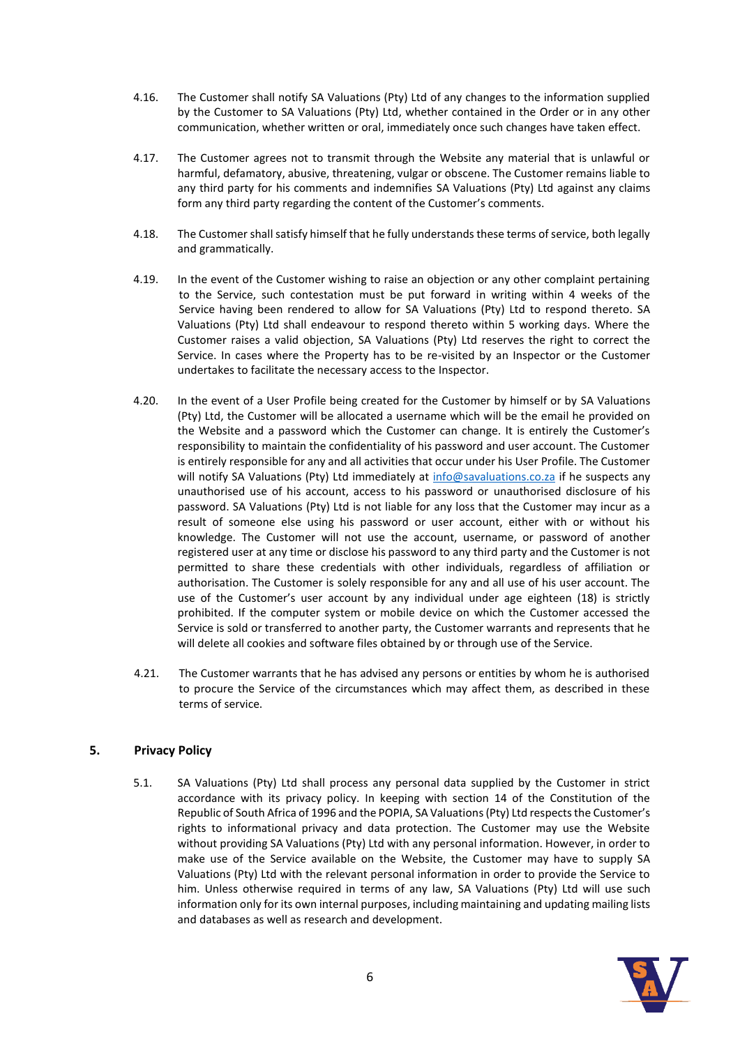- 4.16. The Customer shall notify SA Valuations (Pty) Ltd of any changes to the information supplied by the Customer to SA Valuations (Pty) Ltd, whether contained in the Order or in any other communication, whether written or oral, immediately once such changes have taken effect.
- 4.17. The Customer agrees not to transmit through the Website any material that is unlawful or harmful, defamatory, abusive, threatening, vulgar or obscene. The Customer remains liable to any third party for his comments and indemnifies SA Valuations (Pty) Ltd against any claims form any third party regarding the content of the Customer's comments.
- 4.18. The Customer shall satisfy himself that he fully understands these terms of service, both legally and grammatically.
- 4.19. In the event of the Customer wishing to raise an objection or any other complaint pertaining to the Service, such contestation must be put forward in writing within 4 weeks of the Service having been rendered to allow for SA Valuations (Pty) Ltd to respond thereto. SA Valuations (Pty) Ltd shall endeavour to respond thereto within 5 working days. Where the Customer raises a valid objection, SA Valuations (Pty) Ltd reserves the right to correct the Service. In cases where the Property has to be re-visited by an Inspector or the Customer undertakes to facilitate the necessary access to the Inspector.
- 4.20. In the event of a User Profile being created for the Customer by himself or by SA Valuations (Pty) Ltd, the Customer will be allocated a username which will be the email he provided on the Website and a password which the Customer can change. It is entirely the Customer's responsibility to maintain the confidentiality of his password and user account. The Customer is entirely responsible for any and all activities that occur under his User Profile. The Customer will notify SA Valuations (Pty) Ltd immediately at [info@savaluations.co.za](mailto:info@savaluations.co.za) if he suspects any unauthorised use of his account, access to his password or unauthorised disclosure of his password. SA Valuations (Pty) Ltd is not liable for any loss that the Customer may incur as a result of someone else using his password or user account, either with or without his knowledge. The Customer will not use the account, username, or password of another registered user at any time or disclose his password to any third party and the Customer is not permitted to share these credentials with other individuals, regardless of affiliation or authorisation. The Customer is solely responsible for any and all use of his user account. The use of the Customer's user account by any individual under age eighteen (18) is strictly prohibited. If the computer system or mobile device on which the Customer accessed the Service is sold or transferred to another party, the Customer warrants and represents that he will delete all cookies and software files obtained by or through use of the Service.
- 4.21. The Customer warrants that he has advised any persons or entities by whom he is authorised to procure the Service of the circumstances which may affect them, as described in these terms of service.

# **5. Privacy Policy**

5.1. SA Valuations (Pty) Ltd shall process any personal data supplied by the Customer in strict accordance with its privacy policy. In keeping with section 14 of the Constitution of the Republic of South Africa of 1996 and the POPIA, SA Valuations (Pty) Ltd respects the Customer's rights to informational privacy and data protection. The Customer may use the Website without providing SA Valuations (Pty) Ltd with any personal information. However, in order to make use of the Service available on the Website, the Customer may have to supply SA Valuations (Pty) Ltd with the relevant personal information in order to provide the Service to him. Unless otherwise required in terms of any law, SA Valuations (Pty) Ltd will use such information only for its own internal purposes, including maintaining and updating mailing lists and databases as well as research and development.

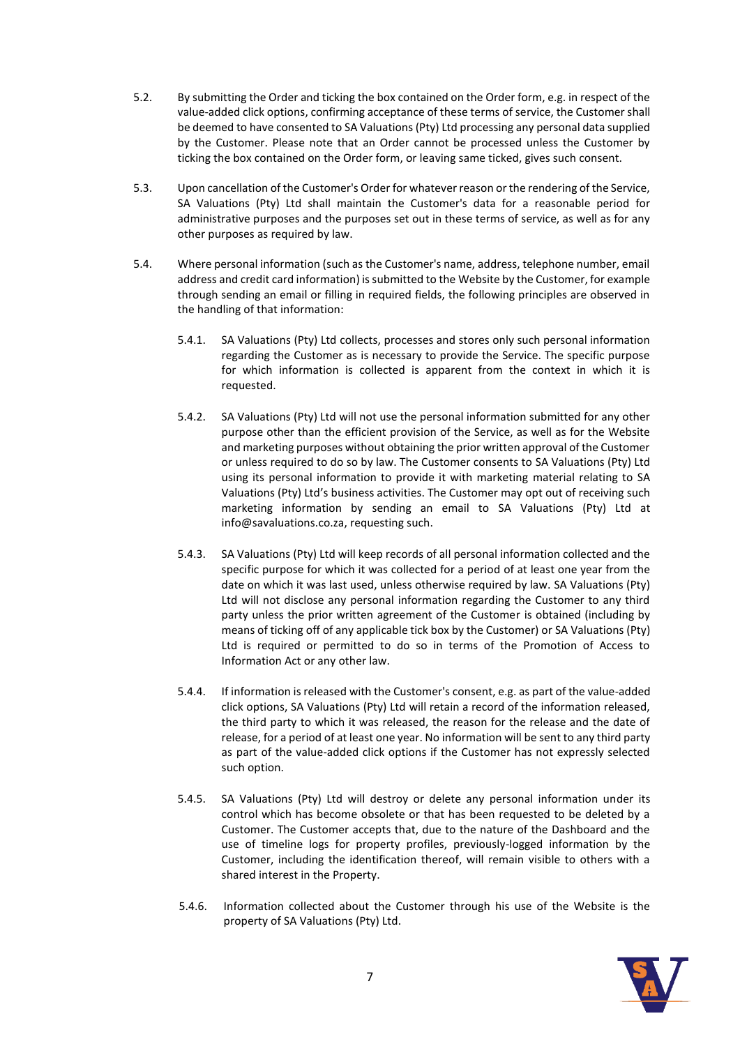- 5.2. By submitting the Order and ticking the box contained on the Order form, e.g. in respect of the value-added click options, confirming acceptance of these terms of service, the Customer shall be deemed to have consented to SA Valuations (Pty) Ltd processing any personal data supplied by the Customer. Please note that an Order cannot be processed unless the Customer by ticking the box contained on the Order form, or leaving same ticked, gives such consent.
- 5.3. Upon cancellation of the Customer's Order for whatever reason or the rendering of the Service, SA Valuations (Pty) Ltd shall maintain the Customer's data for a reasonable period for administrative purposes and the purposes set out in these terms of service, as well as for any other purposes as required by law.
- 5.4. Where personal information (such as the Customer's name, address, telephone number, email address and credit card information) is submitted to the Website by the Customer, for example through sending an email or filling in required fields, the following principles are observed in the handling of that information:
	- 5.4.1. SA Valuations (Pty) Ltd collects, processes and stores only such personal information regarding the Customer as is necessary to provide the Service. The specific purpose for which information is collected is apparent from the context in which it is requested.
	- 5.4.2. SA Valuations (Pty) Ltd will not use the personal information submitted for any other purpose other than the efficient provision of the Service, as well as for the Website and marketing purposes without obtaining the prior written approval of the Customer or unless required to do so by law. The Customer consents to SA Valuations (Pty) Ltd using its personal information to provide it with marketing material relating to SA Valuations (Pty) Ltd's business activities. The Customer may opt out of receiving such marketing information by sending an email to SA Valuations (Pty) Ltd at info@savaluations.co.za, requesting such.
	- 5.4.3. SA Valuations (Pty) Ltd will keep records of all personal information collected and the specific purpose for which it was collected for a period of at least one year from the date on which it was last used, unless otherwise required by law. SA Valuations (Pty) Ltd will not disclose any personal information regarding the Customer to any third party unless the prior written agreement of the Customer is obtained (including by means of ticking off of any applicable tick box by the Customer) or SA Valuations (Pty) Ltd is required or permitted to do so in terms of the Promotion of Access to Information Act or any other law.
	- 5.4.4. If information is released with the Customer's consent, e.g. as part of the value-added click options, SA Valuations (Pty) Ltd will retain a record of the information released, the third party to which it was released, the reason for the release and the date of release, for a period of at least one year. No information will be sent to any third party as part of the value-added click options if the Customer has not expressly selected such option.
	- 5.4.5. SA Valuations (Pty) Ltd will destroy or delete any personal information under its control which has become obsolete or that has been requested to be deleted by a Customer. The Customer accepts that, due to the nature of the Dashboard and the use of timeline logs for property profiles, previously-logged information by the Customer, including the identification thereof, will remain visible to others with a shared interest in the Property.
	- 5.4.6. Information collected about the Customer through his use of the Website is the property of SA Valuations (Pty) Ltd.

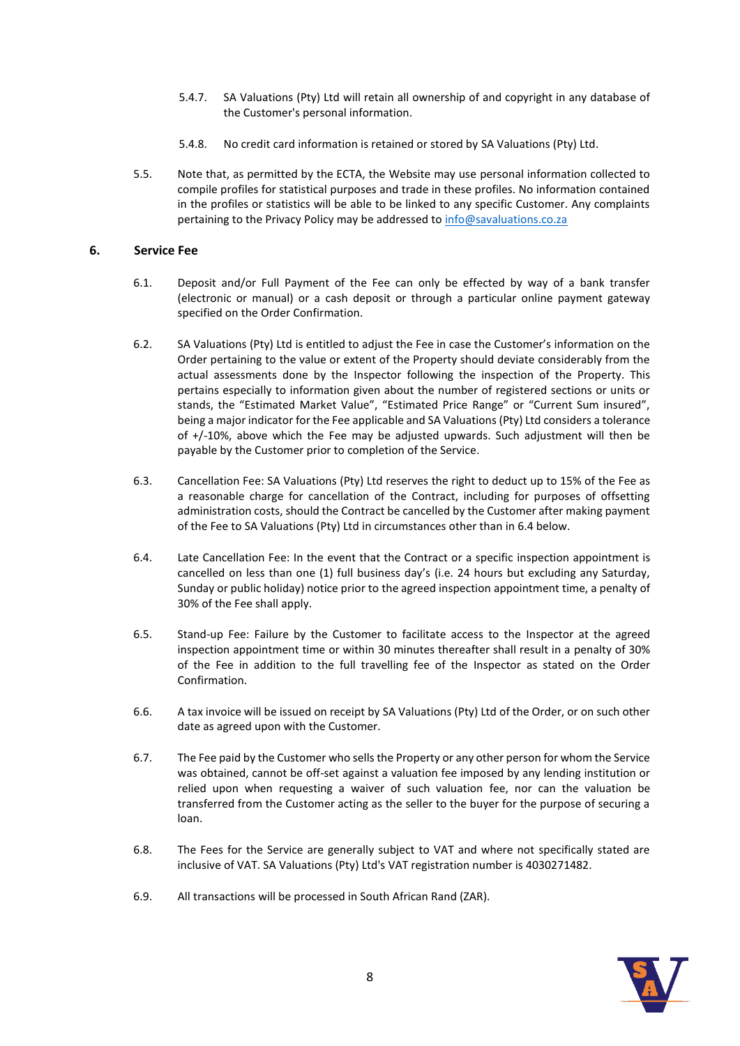- 5.4.7. SA Valuations (Pty) Ltd will retain all ownership of and copyright in any database of the Customer's personal information.
- 5.4.8. No credit card information is retained or stored by SA Valuations (Pty) Ltd.
- 5.5. Note that, as permitted by the ECTA, the Website may use personal information collected to compile profiles for statistical purposes and trade in these profiles. No information contained in the profiles or statistics will be able to be linked to any specific Customer. Any complaints pertaining to the Privacy Policy may be addressed to [info@savaluations.co.za](mailto:info@savaluations.co.za)

## **6. Service Fee**

- 6.1. Deposit and/or Full Payment of the Fee can only be effected by way of a bank transfer (electronic or manual) or a cash deposit or through a particular online payment gateway specified on the Order Confirmation.
- 6.2. SA Valuations (Pty) Ltd is entitled to adjust the Fee in case the Customer's information on the Order pertaining to the value or extent of the Property should deviate considerably from the actual assessments done by the Inspector following the inspection of the Property. This pertains especially to information given about the number of registered sections or units or stands, the "Estimated Market Value", "Estimated Price Range" or "Current Sum insured", being a major indicator for the Fee applicable and SA Valuations (Pty) Ltd considers a tolerance of +/-10%, above which the Fee may be adjusted upwards. Such adjustment will then be payable by the Customer prior to completion of the Service.
- 6.3. Cancellation Fee: SA Valuations (Pty) Ltd reserves the right to deduct up to 15% of the Fee as a reasonable charge for cancellation of the Contract, including for purposes of offsetting administration costs, should the Contract be cancelled by the Customer after making payment of the Fee to SA Valuations (Pty) Ltd in circumstances other than in 6.4 below.
- 6.4. Late Cancellation Fee: In the event that the Contract or a specific inspection appointment is cancelled on less than one (1) full business day's (i.e. 24 hours but excluding any Saturday, Sunday or public holiday) notice prior to the agreed inspection appointment time, a penalty of 30% of the Fee shall apply.
- 6.5. Stand-up Fee: Failure by the Customer to facilitate access to the Inspector at the agreed inspection appointment time or within 30 minutes thereafter shall result in a penalty of 30% of the Fee in addition to the full travelling fee of the Inspector as stated on the Order Confirmation.
- 6.6. A tax invoice will be issued on receipt by SA Valuations (Pty) Ltd of the Order, or on such other date as agreed upon with the Customer.
- 6.7. The Fee paid by the Customer who sells the Property or any other person for whom the Service was obtained, cannot be off-set against a valuation fee imposed by any lending institution or relied upon when requesting a waiver of such valuation fee, nor can the valuation be transferred from the Customer acting as the seller to the buyer for the purpose of securing a loan.
- 6.8. The Fees for the Service are generally subject to VAT and where not specifically stated are inclusive of VAT. SA Valuations (Pty) Ltd's VAT registration number is 4030271482.
- 6.9. All transactions will be processed in South African Rand (ZAR).

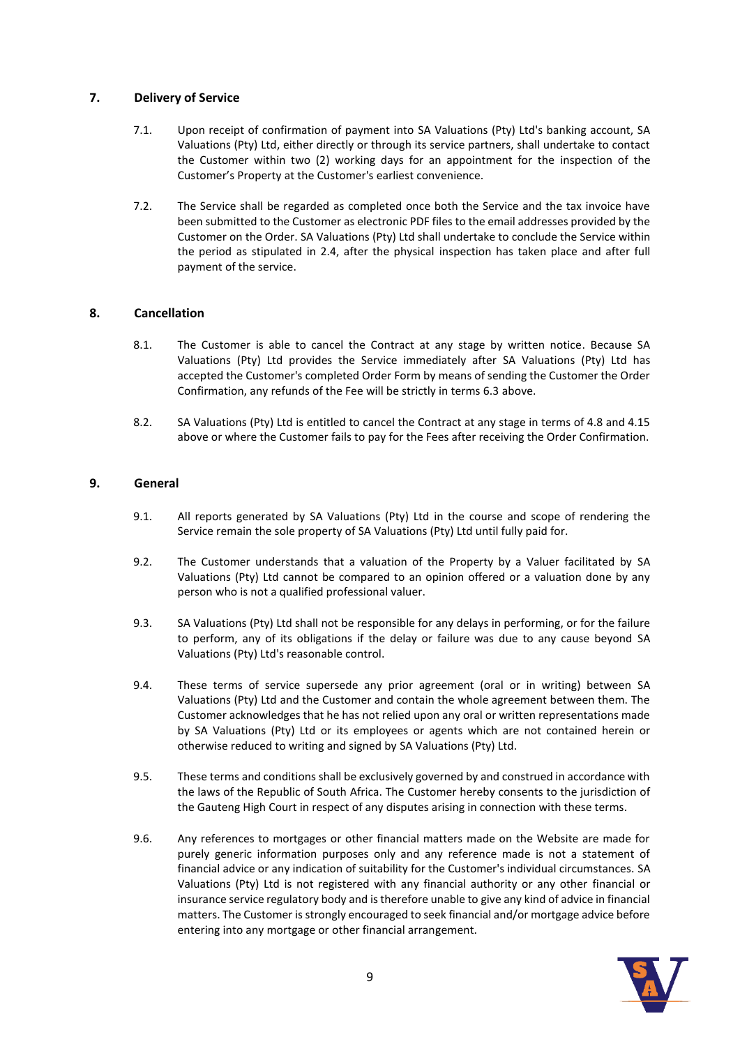# **7. Delivery of Service**

- 7.1. Upon receipt of confirmation of payment into SA Valuations (Pty) Ltd's banking account, SA Valuations (Pty) Ltd, either directly or through its service partners, shall undertake to contact the Customer within two (2) working days for an appointment for the inspection of the Customer's Property at the Customer's earliest convenience.
- 7.2. The Service shall be regarded as completed once both the Service and the tax invoice have been submitted to the Customer as electronic PDF files to the email addresses provided by the Customer on the Order. SA Valuations (Pty) Ltd shall undertake to conclude the Service within the period as stipulated in 2.4, after the physical inspection has taken place and after full payment of the service.

## **8. Cancellation**

- 8.1. The Customer is able to cancel the Contract at any stage by written notice. Because SA Valuations (Pty) Ltd provides the Service immediately after SA Valuations (Pty) Ltd has accepted the Customer's completed Order Form by means of sending the Customer the Order Confirmation, any refunds of the Fee will be strictly in terms 6.3 above.
- 8.2. SA Valuations (Pty) Ltd is entitled to cancel the Contract at any stage in terms of 4.8 and 4.15 above or where the Customer fails to pay for the Fees after receiving the Order Confirmation.

## **9. General**

- 9.1. All reports generated by SA Valuations (Pty) Ltd in the course and scope of rendering the Service remain the sole property of SA Valuations (Pty) Ltd until fully paid for.
- 9.2. The Customer understands that a valuation of the Property by a Valuer facilitated by SA Valuations (Pty) Ltd cannot be compared to an opinion offered or a valuation done by any person who is not a qualified professional valuer.
- 9.3. SA Valuations (Pty) Ltd shall not be responsible for any delays in performing, or for the failure to perform, any of its obligations if the delay or failure was due to any cause beyond SA Valuations (Pty) Ltd's reasonable control.
- 9.4. These terms of service supersede any prior agreement (oral or in writing) between SA Valuations (Pty) Ltd and the Customer and contain the whole agreement between them. The Customer acknowledges that he has not relied upon any oral or written representations made by SA Valuations (Pty) Ltd or its employees or agents which are not contained herein or otherwise reduced to writing and signed by SA Valuations (Pty) Ltd.
- 9.5. These terms and conditions shall be exclusively governed by and construed in accordance with the laws of the Republic of South Africa. The Customer hereby consents to the jurisdiction of the Gauteng High Court in respect of any disputes arising in connection with these terms.
- 9.6. Any references to mortgages or other financial matters made on the Website are made for purely generic information purposes only and any reference made is not a statement of financial advice or any indication of suitability for the Customer's individual circumstances. SA Valuations (Pty) Ltd is not registered with any financial authority or any other financial or insurance service regulatory body and is therefore unable to give any kind of advice in financial matters. The Customer is strongly encouraged to seek financial and/or mortgage advice before entering into any mortgage or other financial arrangement.

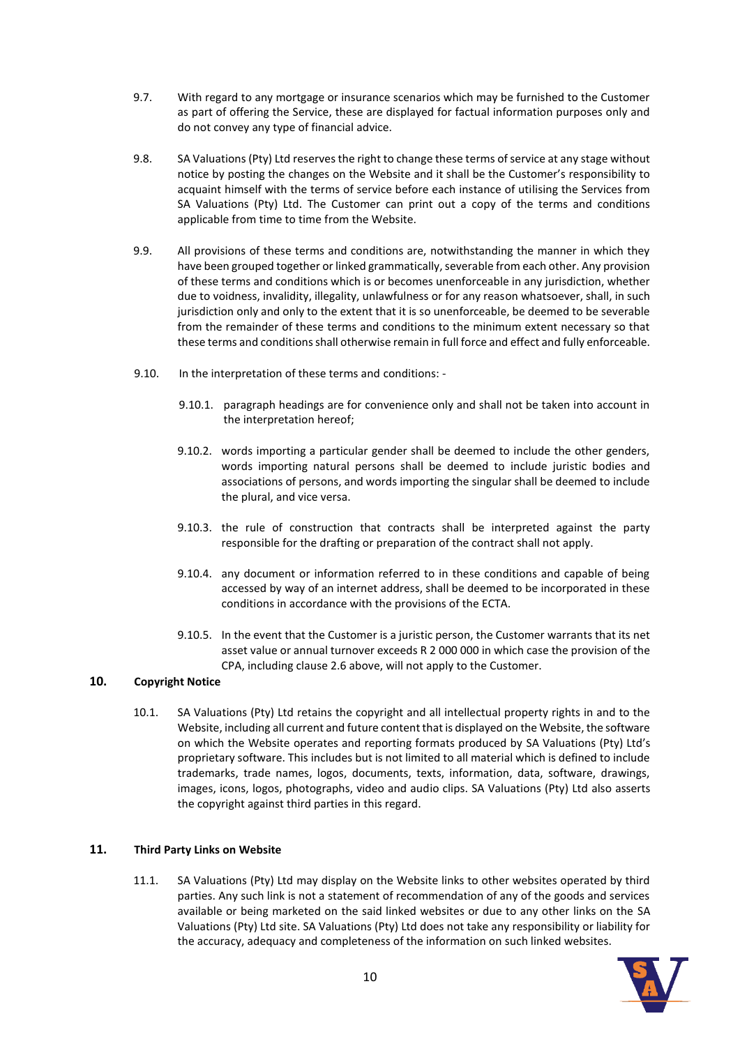- 9.7. With regard to any mortgage or insurance scenarios which may be furnished to the Customer as part of offering the Service, these are displayed for factual information purposes only and do not convey any type of financial advice.
- 9.8. SA Valuations (Pty) Ltd reserves the right to change these terms of service at any stage without notice by posting the changes on the Website and it shall be the Customer's responsibility to acquaint himself with the terms of service before each instance of utilising the Services from SA Valuations (Pty) Ltd. The Customer can print out a copy of the terms and conditions applicable from time to time from the Website.
- 9.9. All provisions of these terms and conditions are, notwithstanding the manner in which they have been grouped together or linked grammatically, severable from each other. Any provision of these terms and conditions which is or becomes unenforceable in any jurisdiction, whether due to voidness, invalidity, illegality, unlawfulness or for any reason whatsoever, shall, in such jurisdiction only and only to the extent that it is so unenforceable, be deemed to be severable from the remainder of these terms and conditions to the minimum extent necessary so that these terms and conditions shall otherwise remain in full force and effect and fully enforceable.
- 9.10. In the interpretation of these terms and conditions:
	- 9.10.1. paragraph headings are for convenience only and shall not be taken into account in the interpretation hereof;
	- 9.10.2. words importing a particular gender shall be deemed to include the other genders, words importing natural persons shall be deemed to include juristic bodies and associations of persons, and words importing the singular shall be deemed to include the plural, and vice versa.
	- 9.10.3. the rule of construction that contracts shall be interpreted against the party responsible for the drafting or preparation of the contract shall not apply.
	- 9.10.4. any document or information referred to in these conditions and capable of being accessed by way of an internet address, shall be deemed to be incorporated in these conditions in accordance with the provisions of the ECTA.
	- 9.10.5. In the event that the Customer is a juristic person, the Customer warrants that its net asset value or annual turnover exceeds R 2 000 000 in which case the provision of the CPA, including clause 2.6 above, will not apply to the Customer.

# **10. Copyright Notice**

10.1. SA Valuations (Pty) Ltd retains the copyright and all intellectual property rights in and to the Website, including all current and future content that is displayed on the Website, the software on which the Website operates and reporting formats produced by SA Valuations (Pty) Ltd's proprietary software. This includes but is not limited to all material which is defined to include trademarks, trade names, logos, documents, texts, information, data, software, drawings, images, icons, logos, photographs, video and audio clips. SA Valuations (Pty) Ltd also asserts the copyright against third parties in this regard.

#### **11. Third Party Links on Website**

11.1. SA Valuations (Pty) Ltd may display on the Website links to other websites operated by third parties. Any such link is not a statement of recommendation of any of the goods and services available or being marketed on the said linked websites or due to any other links on the SA Valuations (Pty) Ltd site. SA Valuations (Pty) Ltd does not take any responsibility or liability for the accuracy, adequacy and completeness of the information on such linked websites.